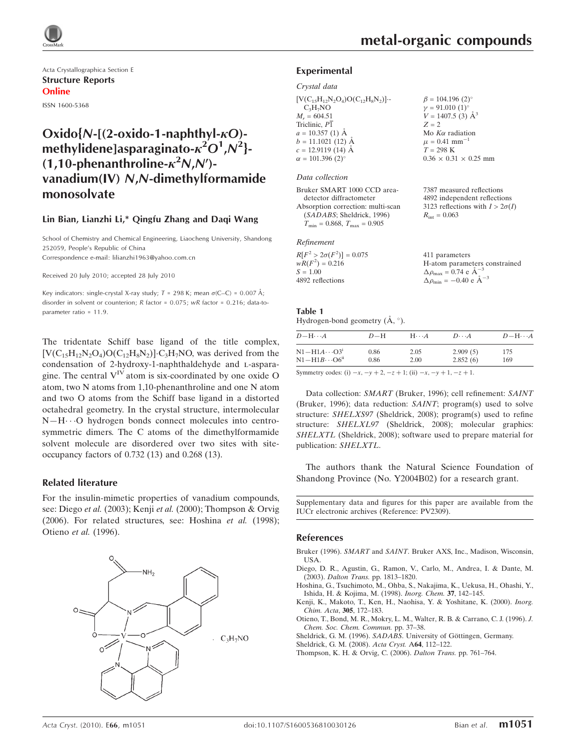

Acta Crystallographica Section E Structure Reports Online

ISSN 1600-5368

# Oxido{ $N-[2\text{-}oxido-1\text{-}naphthvl- $\kappa$ O)$ methylidene]asparaginato- $\kappa^2 O^1$ , $\mathcal{N}^2$ }- $(1, 10$ -phenanthroline- $\kappa^2 N, N'$ )vanadium(IV) N,N-dimethylformamide monosolvate

#### Lin Bian, Lianzhi Li,\* Qingfu Zhang and Daqi Wang

School of Chemistry and Chemical Engineering, Liaocheng University, Shandong 252059, People's Republic of China Correspondence e-mail: lilianzhi1963@yahoo.com.cn

Received 20 July 2010; accepted 28 July 2010

Key indicators: single-crystal X-ray study;  $T = 298$  K; mean  $\sigma$ (C–C) = 0.007 Å; disorder in solvent or counterion; R factor = 0.075; wR factor = 0.216; data-toparameter ratio = 11.9.

The tridentate Schiff base ligand of the title complex,  $[V(C_{15}H_{12}N_2O_4)O(C_{12}H_8N_2)]$ ·C<sub>3</sub>H<sub>7</sub>NO, was derived from the condensation of 2-hydroxy-1-naphthaldehyde and L-asparagine. The central  $V^{IV}$  atom is six-coordinated by one oxide O atom, two N atoms from 1,10-phenanthroline and one N atom and two O atoms from the Schiff base ligand in a distorted octahedral geometry. In the crystal structure, intermolecular N-H $\cdots$ O hydrogen bonds connect molecules into centrosymmetric dimers. The C atoms of the dimethylformamide solvent molecule are disordered over two sites with siteoccupancy factors of 0.732 (13) and 0.268 (13).

#### Related literature

For the insulin-mimetic properties of vanadium compounds, see: Diego et al. (2003); Kenji et al. (2000); Thompson & Orvig (2006). For related structures, see: Hoshina et al. (1998); Otieno et al. (1996).



7387 measured reflections 4892 independent reflections 3123 reflections with  $I > 2\sigma(I)$ 

 $R_{\text{int}} = 0.063$ 

### Experimental

#### Crystal data

 $[V(C_{15}H_{12}N_2O_4)O(C_{12}H_8N_2)]$  $C_3H_7NO$  $M_r = 604.51$ Triclinic, P1  $a = 10.357(1)$  Å  $b = 11.1021(12)$  Å  $c = 12.9119(14)$  Å  $\alpha = 101.396$  (2)<sup>o</sup>  $\beta = 104.196$  (2)<sup>o</sup>  $y = 91.010$  (1)<sup>o</sup>  $V = 1407.5$  (3)  $\AA^3$  $Z = 2$ Mo  $K\alpha$  radiation  $\mu = 0.41$  mm<sup>-1</sup>  $T = 298$  K  $0.36 \times 0.31 \times 0.25$  mm

#### Data collection

Bruker SMART 1000 CCD areadetector diffractometer Absorption correction: multi-scan (SADABS; Sheldrick, 1996)  $T_{\text{min}} = 0.868$ ,  $T_{\text{max}} = 0.905$ 

#### Refinement

| $R[F^2 > 2\sigma(F^2)] = 0.075$ | 411 parameters                                      |
|---------------------------------|-----------------------------------------------------|
| $wR(F^2) = 0.216$               | H-atom parameters constrained                       |
| $S = 1.00$                      | $\Delta \rho_{\text{max}} = 0.74 \text{ e A}^{-3}$  |
| 4892 reflections                | $\Delta \rho_{\text{min}} = -0.40 \text{ e A}^{-3}$ |
|                                 |                                                     |

#### Table 1

Hydrogen-bond geometry  $(\mathring{A}, \degree)$ .

| $D - H \cdots A$                   | $D-H$ | $H \cdot \cdot \cdot A$ | $D\cdots A$ | $D - H \cdots A$ |
|------------------------------------|-------|-------------------------|-------------|------------------|
| $N1 - H1A \cdots O3^i$             | 0.86  | 2.05                    | 2.909(5)    | 175              |
| $N1 - H1B \cdots 06$ <sup>ii</sup> | 0.86  | 2.00                    | 2.852(6)    | 169              |

Symmetry codes: (i)  $-x$ ,  $-y + 2$ ,  $-z + 1$ ; (ii)  $-x$ ,  $-y + 1$ ,  $-z + 1$ .

Data collection: SMART (Bruker, 1996); cell refinement: SAINT (Bruker, 1996); data reduction: SAINT; program(s) used to solve structure: SHELXS97 (Sheldrick, 2008); program(s) used to refine structure: SHELXL97 (Sheldrick, 2008); molecular graphics: SHELXTL (Sheldrick, 2008); software used to prepare material for publication: SHELXTL.

The authors thank the Natural Science Foundation of Shandong Province (No. Y2004B02) for a research grant.

Supplementary data and figures for this paper are available from the IUCr electronic archives (Reference: PV2309).

#### References

- Bruker (1996). SMART and SAINT[. Bruker AXS, Inc., Madison, Wisconsin,](https://scripts.iucr.org/cgi-bin/cr.cgi?rm=pdfbb&cnor=pv2309&bbid=BB1) [USA.](https://scripts.iucr.org/cgi-bin/cr.cgi?rm=pdfbb&cnor=pv2309&bbid=BB1)
- [Diego, D. R., Agustin, G., Ramon, V., Carlo, M., Andrea, I. & Dante, M.](https://scripts.iucr.org/cgi-bin/cr.cgi?rm=pdfbb&cnor=pv2309&bbid=BB2) (2003). Dalton Trans. [pp. 1813–1820.](https://scripts.iucr.org/cgi-bin/cr.cgi?rm=pdfbb&cnor=pv2309&bbid=BB2)
- [Hoshina, G., Tsuchimoto, M., Ohba, S., Nakajima, K., Uekusa, H., Ohashi, Y.,](https://scripts.iucr.org/cgi-bin/cr.cgi?rm=pdfbb&cnor=pv2309&bbid=BB3) [Ishida, H. & Kojima, M. \(1998\).](https://scripts.iucr.org/cgi-bin/cr.cgi?rm=pdfbb&cnor=pv2309&bbid=BB3) Inorg. Chem. 37, 142–145.
- [Kenji, K., Makoto, T., Ken, H., Naohisa, Y. & Yoshitane, K. \(2000\).](https://scripts.iucr.org/cgi-bin/cr.cgi?rm=pdfbb&cnor=pv2309&bbid=BB4) Inorg. [Chim. Acta](https://scripts.iucr.org/cgi-bin/cr.cgi?rm=pdfbb&cnor=pv2309&bbid=BB4), 305, 172–183.
- [Otieno, T., Bond, M. R., Mokry, L. M., Walter, R. B. & Carrano, C. J. \(1996\).](https://scripts.iucr.org/cgi-bin/cr.cgi?rm=pdfbb&cnor=pv2309&bbid=BB5) J. [Chem. Soc. Chem. Commun.](https://scripts.iucr.org/cgi-bin/cr.cgi?rm=pdfbb&cnor=pv2309&bbid=BB5) pp. 37–38.
- Sheldrick, G. M. (1996). SADABS. University of Göttingen, Germany.
- [Sheldrick, G. M. \(2008\).](https://scripts.iucr.org/cgi-bin/cr.cgi?rm=pdfbb&cnor=pv2309&bbid=BB7) Acta Cryst. A64, 112–122.

[Thompson, K. H. & Orvig, C. \(2006\).](https://scripts.iucr.org/cgi-bin/cr.cgi?rm=pdfbb&cnor=pv2309&bbid=BB8) Dalton Trans. pp. 761–764.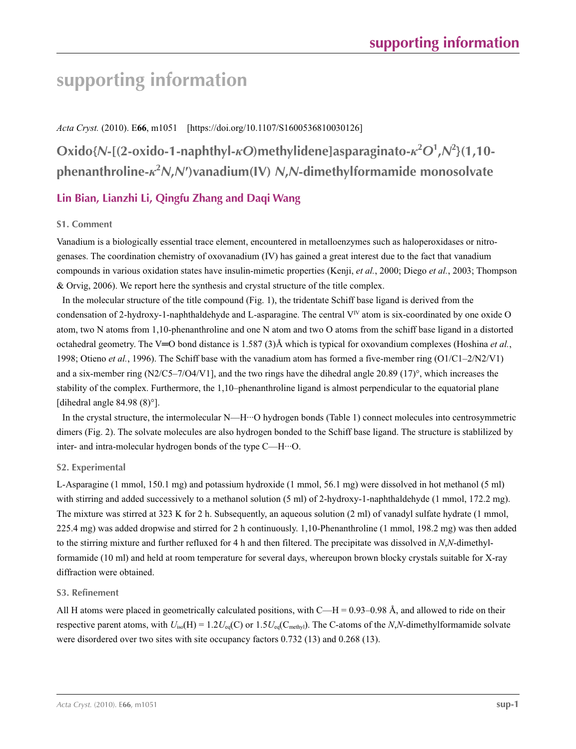# **supporting information**

### *Acta Cryst.* (2010). E**66**, m1051 [https://doi.org/10.1107/S1600536810030126]

**Oxido{***N***-[(2-oxido-1-naphthyl-***κO***)methylidene]asparaginato-***κ***<sup>2</sup>** *O***<sup>1</sup> ,***N***<sup>2</sup> }(1,10 phenanthroline-***κ***<sup>2</sup>** *N***,***N***′)vanadium(IV)** *N***,***N***-dimethylformamide monosolvate**

# **Lin Bian, Lianzhi Li, Qingfu Zhang and Daqi Wang**

## **S1. Comment**

Vanadium is a biologically essential trace element, encountered in metalloenzymes such as haloperoxidases or nitrogenases. The coordination chemistry of oxovanadium (IV) has gained a great interest due to the fact that vanadium compounds in various oxidation states have insulin-mimetic properties (Kenji, *et al.*, 2000; Diego *et al.*, 2003; Thompson & Orvig, 2006). We report here the synthesis and crystal structure of the title complex.

In the molecular structure of the title compound (Fig. 1), the tridentate Schiff base ligand is derived from the condensation of 2-hydroxy-1-naphthaldehyde and L-asparagine. The central  $V^{\text{IV}}$  atom is six-coordinated by one oxide O atom, two N atoms from 1,10-phenanthroline and one N atom and two O atoms from the schiff base ligand in a distorted octahedral geometry. The V═O bond distance is 1.587 (3)Å which is typical for oxovandium complexes (Hoshina *et al.*, 1998; Otieno *et al.*, 1996). The Schiff base with the vanadium atom has formed a five-member ring (O1/C1–2/N2/V1) and a six-member ring  $(N2/C5-7/O4/V1]$ , and the two rings have the dihedral angle 20.89 (17)°, which increases the stability of the complex. Furthermore, the 1,10–phenanthroline ligand is almost perpendicular to the equatorial plane [dihedral angle 84.98 (8)°].

In the crystal structure, the intermolecular N—H···O hydrogen bonds (Table 1) connect molecules into centrosymmetric dimers (Fig. 2). The solvate molecules are also hydrogen bonded to the Schiff base ligand. The structure is stablilized by inter- and intra-molecular hydrogen bonds of the type C—H···O.

### **S2. Experimental**

L-Asparagine (1 mmol, 150.1 mg) and potassium hydroxide (1 mmol, 56.1 mg) were dissolved in hot methanol (5 ml) with stirring and added successively to a methanol solution (5 ml) of 2-hydroxy-1-naphthaldehyde (1 mmol, 172.2 mg). The mixture was stirred at 323 K for 2 h. Subsequently, an aqueous solution (2 ml) of vanadyl sulfate hydrate (1 mmol, 225.4 mg) was added dropwise and stirred for 2 h continuously. 1,10-Phenanthroline (1 mmol, 198.2 mg) was then added to the stirring mixture and further refluxed for 4 h and then filtered. The precipitate was dissolved in *N*,*N*-dimethylformamide (10 ml) and held at room temperature for several days, whereupon brown blocky crystals suitable for X-ray diffraction were obtained.

### **S3. Refinement**

All H atoms were placed in geometrically calculated positions, with  $C-H = 0.93-0.98$  Å, and allowed to ride on their respective parent atoms, with  $U_{iso}(H) = 1.2U_{eq}(C)$  or  $1.5U_{eq}(C_{\text{methyl}})$ . The C-atoms of the *N*,*N*-dimethylformamide solvate were disordered over two sites with site occupancy factors 0.732 (13) and 0.268 (13).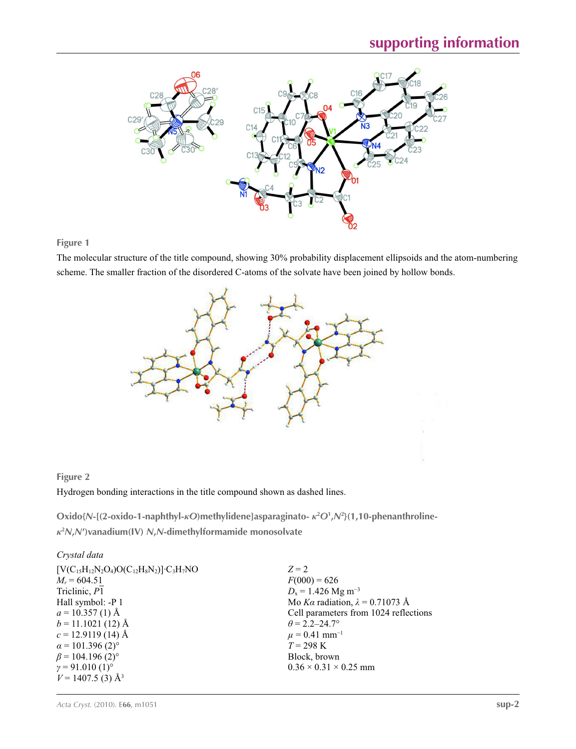

**Figure 1**

The molecular structure of the title compound, showing 30% probability displacement ellipsoids and the atom-numbering scheme. The smaller fraction of the disordered C-atoms of the solvate have been joined by hollow bonds.



# **Figure 2**

Hydrogen bonding interactions in the title compound shown as dashed lines.

**Oxido{***N***-[(2-oxido-1-naphthyl-***κO***)methylidene]asparaginato-** *κ***<sup>2</sup>** *O***<sup>1</sup> ,***N***<sup>2</sup> }(1,10-phenanthroline***κ***2** *N***,***N***′)vanadium(IV)** *N***,***N***-dimethylformamide monosolvate** 

#### *Crystal data*

| $[V(C_{15}H_{12}N_2O_4)O(C_{12}H_8N_2)]$ ·C <sub>3</sub> H <sub>7</sub> NO | $Z = 2$                                |
|----------------------------------------------------------------------------|----------------------------------------|
| $M_r = 604.51$                                                             | $F(000) = 626$                         |
| Triclinic, P1                                                              | $D_x = 1.426$ Mg m <sup>-3</sup>       |
| Hall symbol: -P 1                                                          | Mo Ka radiation, $\lambda = 0.71073$ Å |
| $a = 10.357(1)$ Å                                                          | Cell parameters from 1024 reflections  |
| $b = 11.1021(12)$ Å                                                        | $\theta$ = 2.2–24.7°                   |
| $c = 12.9119(14)$ Å                                                        | $\mu$ = 0.41 mm <sup>-1</sup>          |
| $\alpha$ = 101.396 (2) <sup>o</sup>                                        | $T = 298 \text{ K}$                    |
| $\beta$ = 104.196 (2) <sup>o</sup>                                         | Block, brown                           |
| $\gamma = 91.010(1)$ °                                                     | $0.36 \times 0.31 \times 0.25$ mm      |
| $V = 1407.5$ (3) Å <sup>3</sup>                                            |                                        |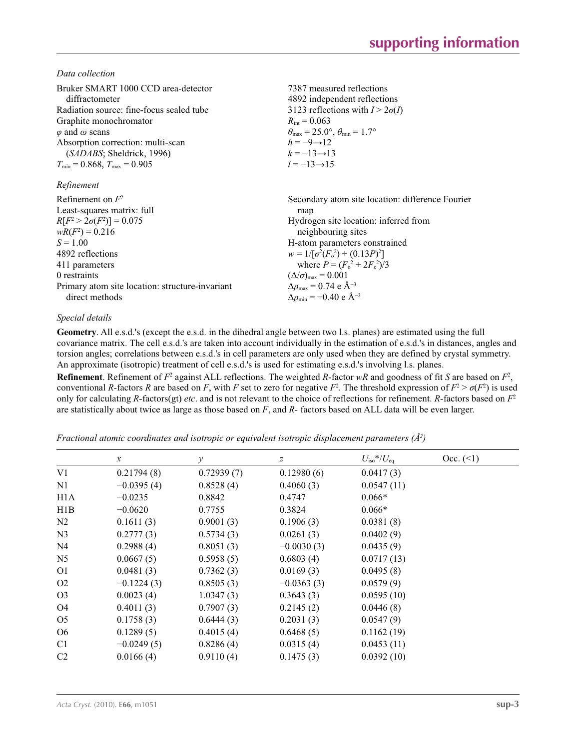*Data collection*

| 7387 measured reflections<br>4892 independent reflections<br>3123 reflections with $I > 2\sigma(I)$<br>$R_{\text{int}} = 0.063$<br>$\theta_{\text{max}} = 25.0^{\circ}, \theta_{\text{min}} = 1.7^{\circ}$<br>$h = -9 \rightarrow 12$<br>$k = -13 \rightarrow 13$<br>$l = -13 \rightarrow 15$ |
|-----------------------------------------------------------------------------------------------------------------------------------------------------------------------------------------------------------------------------------------------------------------------------------------------|
|                                                                                                                                                                                                                                                                                               |
| Secondary atom site location: difference Fourier<br>map                                                                                                                                                                                                                                       |
| Hydrogen site location: inferred from<br>neighbouring sites                                                                                                                                                                                                                                   |
| H-atom parameters constrained                                                                                                                                                                                                                                                                 |
| $w = 1/[\sigma^2(F_0^2) + (0.13P)^2]$                                                                                                                                                                                                                                                         |
| where $P = (F_o^2 + 2F_c^2)/3$                                                                                                                                                                                                                                                                |
| $(\Delta/\sigma)_{\text{max}} = 0.001$                                                                                                                                                                                                                                                        |
| $\Delta\rho_{\text{max}} = 0.74$ e Å <sup>-3</sup>                                                                                                                                                                                                                                            |
| $\Delta\rho_{\rm min}$ = -0.40 e Å <sup>-3</sup>                                                                                                                                                                                                                                              |
|                                                                                                                                                                                                                                                                                               |

## *Special details*

**Geometry**. All e.s.d.'s (except the e.s.d. in the dihedral angle between two l.s. planes) are estimated using the full covariance matrix. The cell e.s.d.'s are taken into account individually in the estimation of e.s.d.'s in distances, angles and torsion angles; correlations between e.s.d.'s in cell parameters are only used when they are defined by crystal symmetry. An approximate (isotropic) treatment of cell e.s.d.'s is used for estimating e.s.d.'s involving l.s. planes.

**Refinement**. Refinement of  $F^2$  against ALL reflections. The weighted *R*-factor  $wR$  and goodness of fit *S* are based on  $F^2$ , conventional *R*-factors *R* are based on *F*, with *F* set to zero for negative  $F^2$ . The threshold expression of  $F^2 > \sigma(F^2)$  is used only for calculating *R*-factors(gt) *etc*. and is not relevant to the choice of reflections for refinement. *R*-factors based on *F*<sup>2</sup> are statistically about twice as large as those based on *F*, and *R*- factors based on ALL data will be even larger.

*Fractional atomic coordinates and isotropic or equivalent isotropic displacement parameters (Å<sup>2</sup>)* 

|                  | $\boldsymbol{\chi}$ | у          | z            | $U_{\rm iso}$ */ $U_{\rm eq}$ | Occ. (2) |
|------------------|---------------------|------------|--------------|-------------------------------|----------|
| V1               | 0.21794(8)          | 0.72939(7) | 0.12980(6)   | 0.0417(3)                     |          |
| N1               | $-0.0395(4)$        | 0.8528(4)  | 0.4060(3)    | 0.0547(11)                    |          |
| H <sub>1</sub> A | $-0.0235$           | 0.8842     | 0.4747       | $0.066*$                      |          |
| H1B              | $-0.0620$           | 0.7755     | 0.3824       | $0.066*$                      |          |
| N <sub>2</sub>   | 0.1611(3)           | 0.9001(3)  | 0.1906(3)    | 0.0381(8)                     |          |
| N <sub>3</sub>   | 0.2777(3)           | 0.5734(3)  | 0.0261(3)    | 0.0402(9)                     |          |
| N4               | 0.2988(4)           | 0.8051(3)  | $-0.0030(3)$ | 0.0435(9)                     |          |
| N <sub>5</sub>   | 0.0667(5)           | 0.5958(5)  | 0.6803(4)    | 0.0717(13)                    |          |
| O <sub>1</sub>   | 0.0481(3)           | 0.7362(3)  | 0.0169(3)    | 0.0495(8)                     |          |
| O <sub>2</sub>   | $-0.1224(3)$        | 0.8505(3)  | $-0.0363(3)$ | 0.0579(9)                     |          |
| O <sub>3</sub>   | 0.0023(4)           | 1.0347(3)  | 0.3643(3)    | 0.0595(10)                    |          |
| O <sub>4</sub>   | 0.4011(3)           | 0.7907(3)  | 0.2145(2)    | 0.0446(8)                     |          |
| O <sub>5</sub>   | 0.1758(3)           | 0.6444(3)  | 0.2031(3)    | 0.0547(9)                     |          |
| O <sub>6</sub>   | 0.1289(5)           | 0.4015(4)  | 0.6468(5)    | 0.1162(19)                    |          |
| C <sub>1</sub>   | $-0.0249(5)$        | 0.8286(4)  | 0.0315(4)    | 0.0453(11)                    |          |
| C <sub>2</sub>   | 0.0166(4)           | 0.9110(4)  | 0.1475(3)    | 0.0392(10)                    |          |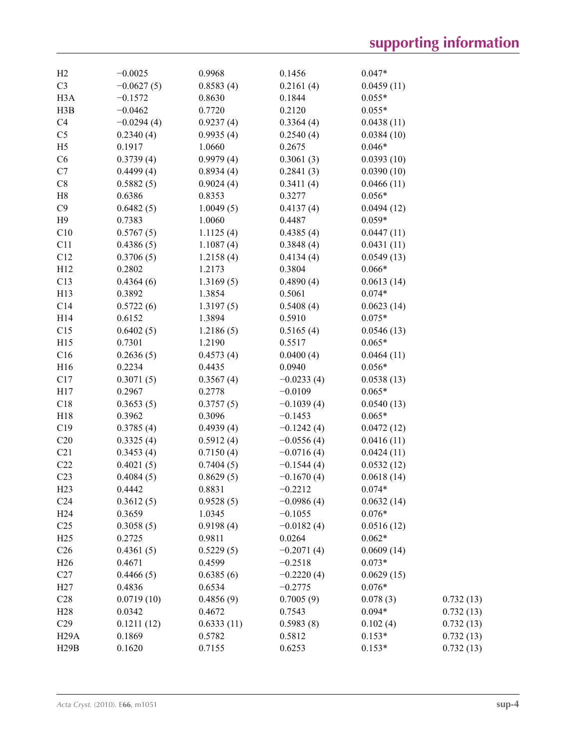| H2                | $-0.0025$           | 0.9968              | 0.1456       | $0.047*$               |           |
|-------------------|---------------------|---------------------|--------------|------------------------|-----------|
| C <sub>3</sub>    | $-0.0627(5)$        | 0.8583(4)           | 0.2161(4)    | 0.0459(11)             |           |
| H <sub>3</sub> A  | $-0.1572$           | 0.8630              | 0.1844       | $0.055*$               |           |
| H3B               | $-0.0462$           | 0.7720              | 0.2120       | $0.055*$               |           |
| C4                | $-0.0294(4)$        | 0.9237(4)           | 0.3364(4)    | 0.0438(11)             |           |
| C <sub>5</sub>    | 0.2340(4)           | 0.9935(4)           | 0.2540(4)    | 0.0384(10)             |           |
| H <sub>5</sub>    | 0.1917              | 1.0660              | 0.2675       | $0.046*$               |           |
| C6                | 0.3739(4)           | 0.9979(4)           | 0.3061(3)    | 0.0393(10)             |           |
| C7                | 0.4499(4)           | 0.8934(4)           | 0.2841(3)    | 0.0390(10)             |           |
| C8                | 0.5882(5)           | 0.9024(4)           | 0.3411(4)    | 0.0466(11)             |           |
| H8                | 0.6386              | 0.8353              | 0.3277       | $0.056*$               |           |
| C9                | 0.6482(5)           | 1.0049(5)           | 0.4137(4)    | 0.0494(12)             |           |
| H9                | 0.7383              | 1.0060              | 0.4487       | $0.059*$               |           |
| C10               | 0.5767(5)           | 1.1125(4)           | 0.4385(4)    | 0.0447(11)             |           |
| C11               | 0.4386(5)           | 1.1087(4)           | 0.3848(4)    | 0.0431(11)             |           |
| C12               | 0.3706(5)           | 1.2158(4)           | 0.4134(4)    | 0.0549(13)             |           |
| H12               | 0.2802              | 1.2173              | 0.3804       | $0.066*$               |           |
| C13               | 0.4364(6)           | 1.3169(5)           | 0.4890(4)    | 0.0613(14)             |           |
| H13               | 0.3892              | 1.3854              | 0.5061       | $0.074*$               |           |
| C14               | 0.5722(6)           | 1.3197(5)           | 0.5408(4)    | 0.0623(14)             |           |
| H14               | 0.6152              | 1.3894              | 0.5910       | $0.075*$               |           |
| C15               | 0.6402(5)           | 1.2186(5)           | 0.5165(4)    | 0.0546(13)             |           |
| H15               | 0.7301              | 1.2190              | 0.5517       | $0.065*$               |           |
| C16               | 0.2636(5)           | 0.4573(4)           | 0.0400(4)    | 0.0464(11)             |           |
| H16               | 0.2234              | 0.4435              | 0.0940       | $0.056*$               |           |
| C17               | 0.3071(5)           | 0.3567(4)           | $-0.0233(4)$ | 0.0538(13)             |           |
| H17               | 0.2967              | 0.2778              | $-0.0109$    | $0.065*$               |           |
| C18               |                     |                     |              |                        |           |
|                   | 0.3653(5)<br>0.3962 | 0.3757(5)<br>0.3096 | $-0.1039(4)$ | 0.0540(13)             |           |
| H18               |                     |                     | $-0.1453$    | $0.065*$               |           |
| C19               | 0.3785(4)           | 0.4939(4)           | $-0.1242(4)$ | 0.0472(12)             |           |
| C20               | 0.3325(4)           | 0.5912(4)           | $-0.0556(4)$ | 0.0416(11)             |           |
| C21               | 0.3453(4)           | 0.7150(4)           | $-0.0716(4)$ | 0.0424(11)             |           |
| C22               | 0.4021(5)           | 0.7404(5)           | $-0.1544(4)$ | 0.0532(12)             |           |
| C <sub>23</sub>   | 0.4084(5)           | 0.8629(5)           | $-0.1670(4)$ | 0.0618(14)<br>$0.074*$ |           |
| H23               | 0.4442              | 0.8831              | $-0.2212$    |                        |           |
| C <sub>24</sub>   | 0.3612(5)           | 0.9528(5)           | $-0.0986(4)$ | 0.0632(14)             |           |
| H <sub>24</sub>   | 0.3659              | 1.0345              | $-0.1055$    | $0.076*$               |           |
| C <sub>25</sub>   | 0.3058(5)           | 0.9198(4)           | $-0.0182(4)$ | 0.0516(12)             |           |
| H25               | 0.2725              | 0.9811              | 0.0264       | $0.062*$               |           |
| C <sub>26</sub>   | 0.4361(5)           | 0.5229(5)           | $-0.2071(4)$ | 0.0609(14)             |           |
| H <sub>26</sub>   | 0.4671              | 0.4599              | $-0.2518$    | $0.073*$               |           |
| C27               | 0.4466(5)           | 0.6385(6)           | $-0.2220(4)$ | 0.0629(15)             |           |
| H27               | 0.4836              | 0.6534              | $-0.2775$    | $0.076*$               |           |
| C28               | 0.0719(10)          | 0.4856(9)           | 0.7005(9)    | 0.078(3)               | 0.732(13) |
| H28               | 0.0342              | 0.4672              | 0.7543       | $0.094*$               | 0.732(13) |
| C29               | 0.1211(12)          | 0.6333(11)          | 0.5983(8)    | 0.102(4)               | 0.732(13) |
| H <sub>29</sub> A | 0.1869              | 0.5782              | 0.5812       | $0.153*$               | 0.732(13) |
| H29B              | 0.1620              | 0.7155              | 0.6253       | $0.153*$               | 0.732(13) |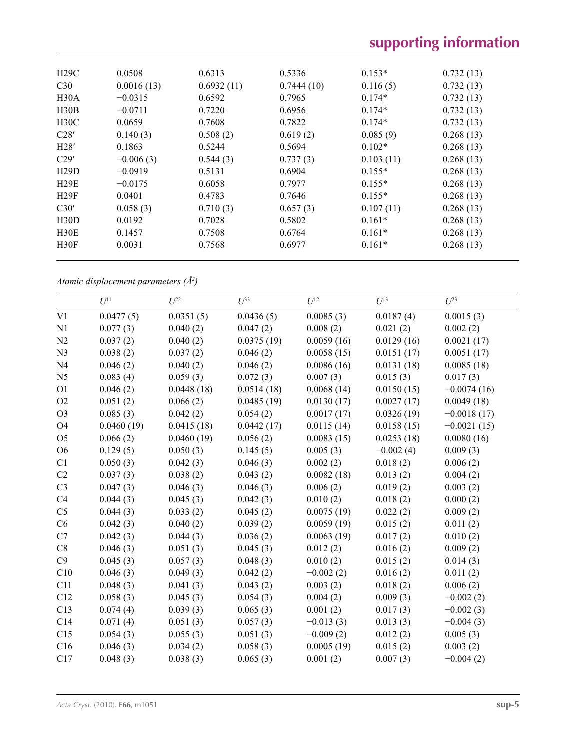| H29C | 0.0508      | 0.6313     | 0.5336     | $0.153*$  | 0.732(13) |  |
|------|-------------|------------|------------|-----------|-----------|--|
| C30  | 0.0016(13)  | 0.6932(11) | 0.7444(10) | 0.116(5)  | 0.732(13) |  |
| H30A | $-0.0315$   | 0.6592     | 0.7965     | $0.174*$  | 0.732(13) |  |
| H30B | $-0.0711$   | 0.7220     | 0.6956     | $0.174*$  | 0.732(13) |  |
| H30C | 0.0659      | 0.7608     | 0.7822     | $0.174*$  | 0.732(13) |  |
| C28' | 0.140(3)    | 0.508(2)   | 0.619(2)   | 0.085(9)  | 0.268(13) |  |
| H28' | 0.1863      | 0.5244     | 0.5694     | $0.102*$  | 0.268(13) |  |
| C29' | $-0.006(3)$ | 0.544(3)   | 0.737(3)   | 0.103(11) | 0.268(13) |  |
| H29D | $-0.0919$   | 0.5131     | 0.6904     | $0.155*$  | 0.268(13) |  |
| H29E | $-0.0175$   | 0.6058     | 0.7977     | $0.155*$  | 0.268(13) |  |
| H29F | 0.0401      | 0.4783     | 0.7646     | $0.155*$  | 0.268(13) |  |
| C30' | 0.058(3)    | 0.710(3)   | 0.657(3)   | 0.107(11) | 0.268(13) |  |
| H30D | 0.0192      | 0.7028     | 0.5802     | $0.161*$  | 0.268(13) |  |
| H30E | 0.1457      | 0.7508     | 0.6764     | $0.161*$  | 0.268(13) |  |
| H30F | 0.0031      | 0.7568     | 0.6977     | $0.161*$  | 0.268(13) |  |
|      |             |            |            |           |           |  |

*Atomic displacement parameters (Å2 )*

| 0.0477(5)<br>0.0351(5)<br>0.0436(5)<br>0.0085(3)<br>0.0187(4)<br>0.0015(3)<br>0.077(3)<br>0.040(2)<br>0.047(2)<br>0.008(2)<br>0.021(2)<br>0.002(2)<br>0.0375(19)<br>0.037(2)<br>0.040(2)<br>0.0059(16)<br>0.0129(16)<br>0.0021(17)<br>0.038(2)<br>0.037(2)<br>0.046(2)<br>0.0058(15)<br>0.0151(17)<br>0.0051(17)<br>0.046(2)<br>0.040(2)<br>0.046(2)<br>0.0086(16)<br>0.0131(18)<br>0.0085(18)<br>0.015(3)<br>0.083(4)<br>0.059(3)<br>0.072(3)<br>0.007(3)<br>0.017(3)<br>0.046(2)<br>0.0448(18)<br>0.0514(18)<br>0.0068(14)<br>0.0150(15)<br>$-0.0074(16)$<br>0.051(2)<br>0.066(2)<br>0.0485(19)<br>0.0130(17)<br>0.0027(17)<br>0.0049(18)<br>0.085(3)<br>0.042(2)<br>0.054(2)<br>0.0017(17)<br>0.0326(19)<br>$-0.0018(17)$<br>0.0415(18)<br>0.0115(14)<br>0.0158(15)<br>0.0460(19)<br>0.0442(17)<br>$-0.0021(15)$<br>0.056(2)<br>0.066(2)<br>0.0460(19)<br>0.0083(15)<br>0.0253(18)<br>0.0080(16)<br>0.129(5)<br>0.050(3)<br>0.145(5)<br>0.005(3)<br>$-0.002(4)$<br>0.009(3)<br>0.050(3)<br>0.042(3)<br>0.046(3)<br>0.002(2)<br>0.018(2)<br>0.006(2)<br>0.037(3)<br>0.038(2)<br>0.043(2)<br>0.0082(18)<br>0.013(2)<br>0.004(2)<br>0.006(2)<br>0.019(2)<br>0.047(3)<br>0.046(3)<br>0.046(3)<br>0.003(2)<br>0.044(3)<br>0.045(3)<br>0.042(3)<br>0.010(2)<br>0.018(2)<br>0.000(2)<br>0.044(3)<br>0.033(2)<br>0.045(2)<br>0.0075(19)<br>0.022(2)<br>0.009(2)<br>0.039(2)<br>0.042(3)<br>0.040(2)<br>0.0059(19)<br>0.015(2)<br>0.011(2)<br>0.0063(19)<br>0.042(3)<br>0.044(3)<br>0.036(2)<br>0.017(2)<br>0.010(2)<br>0.046(3)<br>0.051(3)<br>0.045(3)<br>0.012(2)<br>0.016(2)<br>0.009(2)<br>0.045(3)<br>0.057(3)<br>0.048(3)<br>0.010(2)<br>0.015(2)<br>0.014(3)<br>0.046(3)<br>0.049(3)<br>0.042(2)<br>$-0.002(2)$<br>0.016(2)<br>0.011(2)<br>0.043(2)<br>0.003(2)<br>0.018(2)<br>0.048(3)<br>0.041(3)<br>0.006(2)<br>0.058(3)<br>0.054(3)<br>0.004(2)<br>0.009(3)<br>0.045(3)<br>$-0.002(2)$<br>0.074(4)<br>0.039(3)<br>0.065(3)<br>0.001(2)<br>0.017(3)<br>$-0.002(3)$<br>0.071(4)<br>0.051(3)<br>0.057(3)<br>$-0.013(3)$<br>0.013(3)<br>$-0.004(3)$<br>0.054(3)<br>0.055(3)<br>0.051(3)<br>$-0.009(2)$<br>0.012(2)<br>0.005(3)<br>0.058(3)<br>0.0005(19)<br>0.046(3)<br>0.034(2)<br>0.015(2)<br>0.003(2) |                | $U^{11}$ | $I^{22}$ | $U^{33}$ | $\mathfrak{L}$ <sup>12</sup> | $U^{13}$ | $U^{23}$    |
|------------------------------------------------------------------------------------------------------------------------------------------------------------------------------------------------------------------------------------------------------------------------------------------------------------------------------------------------------------------------------------------------------------------------------------------------------------------------------------------------------------------------------------------------------------------------------------------------------------------------------------------------------------------------------------------------------------------------------------------------------------------------------------------------------------------------------------------------------------------------------------------------------------------------------------------------------------------------------------------------------------------------------------------------------------------------------------------------------------------------------------------------------------------------------------------------------------------------------------------------------------------------------------------------------------------------------------------------------------------------------------------------------------------------------------------------------------------------------------------------------------------------------------------------------------------------------------------------------------------------------------------------------------------------------------------------------------------------------------------------------------------------------------------------------------------------------------------------------------------------------------------------------------------------------------------------------------------------------------------------------------------------------------------------------------------------------------------------------------------------------------------------------------------------------------------------------------|----------------|----------|----------|----------|------------------------------|----------|-------------|
|                                                                                                                                                                                                                                                                                                                                                                                                                                                                                                                                                                                                                                                                                                                                                                                                                                                                                                                                                                                                                                                                                                                                                                                                                                                                                                                                                                                                                                                                                                                                                                                                                                                                                                                                                                                                                                                                                                                                                                                                                                                                                                                                                                                                            | V1             |          |          |          |                              |          |             |
|                                                                                                                                                                                                                                                                                                                                                                                                                                                                                                                                                                                                                                                                                                                                                                                                                                                                                                                                                                                                                                                                                                                                                                                                                                                                                                                                                                                                                                                                                                                                                                                                                                                                                                                                                                                                                                                                                                                                                                                                                                                                                                                                                                                                            | N1             |          |          |          |                              |          |             |
|                                                                                                                                                                                                                                                                                                                                                                                                                                                                                                                                                                                                                                                                                                                                                                                                                                                                                                                                                                                                                                                                                                                                                                                                                                                                                                                                                                                                                                                                                                                                                                                                                                                                                                                                                                                                                                                                                                                                                                                                                                                                                                                                                                                                            | N2             |          |          |          |                              |          |             |
|                                                                                                                                                                                                                                                                                                                                                                                                                                                                                                                                                                                                                                                                                                                                                                                                                                                                                                                                                                                                                                                                                                                                                                                                                                                                                                                                                                                                                                                                                                                                                                                                                                                                                                                                                                                                                                                                                                                                                                                                                                                                                                                                                                                                            | N <sub>3</sub> |          |          |          |                              |          |             |
|                                                                                                                                                                                                                                                                                                                                                                                                                                                                                                                                                                                                                                                                                                                                                                                                                                                                                                                                                                                                                                                                                                                                                                                                                                                                                                                                                                                                                                                                                                                                                                                                                                                                                                                                                                                                                                                                                                                                                                                                                                                                                                                                                                                                            | N <sub>4</sub> |          |          |          |                              |          |             |
|                                                                                                                                                                                                                                                                                                                                                                                                                                                                                                                                                                                                                                                                                                                                                                                                                                                                                                                                                                                                                                                                                                                                                                                                                                                                                                                                                                                                                                                                                                                                                                                                                                                                                                                                                                                                                                                                                                                                                                                                                                                                                                                                                                                                            | N <sub>5</sub> |          |          |          |                              |          |             |
|                                                                                                                                                                                                                                                                                                                                                                                                                                                                                                                                                                                                                                                                                                                                                                                                                                                                                                                                                                                                                                                                                                                                                                                                                                                                                                                                                                                                                                                                                                                                                                                                                                                                                                                                                                                                                                                                                                                                                                                                                                                                                                                                                                                                            | O <sub>1</sub> |          |          |          |                              |          |             |
|                                                                                                                                                                                                                                                                                                                                                                                                                                                                                                                                                                                                                                                                                                                                                                                                                                                                                                                                                                                                                                                                                                                                                                                                                                                                                                                                                                                                                                                                                                                                                                                                                                                                                                                                                                                                                                                                                                                                                                                                                                                                                                                                                                                                            | O2             |          |          |          |                              |          |             |
|                                                                                                                                                                                                                                                                                                                                                                                                                                                                                                                                                                                                                                                                                                                                                                                                                                                                                                                                                                                                                                                                                                                                                                                                                                                                                                                                                                                                                                                                                                                                                                                                                                                                                                                                                                                                                                                                                                                                                                                                                                                                                                                                                                                                            | O <sub>3</sub> |          |          |          |                              |          |             |
|                                                                                                                                                                                                                                                                                                                                                                                                                                                                                                                                                                                                                                                                                                                                                                                                                                                                                                                                                                                                                                                                                                                                                                                                                                                                                                                                                                                                                                                                                                                                                                                                                                                                                                                                                                                                                                                                                                                                                                                                                                                                                                                                                                                                            | O <sub>4</sub> |          |          |          |                              |          |             |
|                                                                                                                                                                                                                                                                                                                                                                                                                                                                                                                                                                                                                                                                                                                                                                                                                                                                                                                                                                                                                                                                                                                                                                                                                                                                                                                                                                                                                                                                                                                                                                                                                                                                                                                                                                                                                                                                                                                                                                                                                                                                                                                                                                                                            | O <sub>5</sub> |          |          |          |                              |          |             |
|                                                                                                                                                                                                                                                                                                                                                                                                                                                                                                                                                                                                                                                                                                                                                                                                                                                                                                                                                                                                                                                                                                                                                                                                                                                                                                                                                                                                                                                                                                                                                                                                                                                                                                                                                                                                                                                                                                                                                                                                                                                                                                                                                                                                            | O <sub>6</sub> |          |          |          |                              |          |             |
|                                                                                                                                                                                                                                                                                                                                                                                                                                                                                                                                                                                                                                                                                                                                                                                                                                                                                                                                                                                                                                                                                                                                                                                                                                                                                                                                                                                                                                                                                                                                                                                                                                                                                                                                                                                                                                                                                                                                                                                                                                                                                                                                                                                                            | C1             |          |          |          |                              |          |             |
|                                                                                                                                                                                                                                                                                                                                                                                                                                                                                                                                                                                                                                                                                                                                                                                                                                                                                                                                                                                                                                                                                                                                                                                                                                                                                                                                                                                                                                                                                                                                                                                                                                                                                                                                                                                                                                                                                                                                                                                                                                                                                                                                                                                                            | C2             |          |          |          |                              |          |             |
|                                                                                                                                                                                                                                                                                                                                                                                                                                                                                                                                                                                                                                                                                                                                                                                                                                                                                                                                                                                                                                                                                                                                                                                                                                                                                                                                                                                                                                                                                                                                                                                                                                                                                                                                                                                                                                                                                                                                                                                                                                                                                                                                                                                                            | C <sub>3</sub> |          |          |          |                              |          |             |
|                                                                                                                                                                                                                                                                                                                                                                                                                                                                                                                                                                                                                                                                                                                                                                                                                                                                                                                                                                                                                                                                                                                                                                                                                                                                                                                                                                                                                                                                                                                                                                                                                                                                                                                                                                                                                                                                                                                                                                                                                                                                                                                                                                                                            | C4             |          |          |          |                              |          |             |
|                                                                                                                                                                                                                                                                                                                                                                                                                                                                                                                                                                                                                                                                                                                                                                                                                                                                                                                                                                                                                                                                                                                                                                                                                                                                                                                                                                                                                                                                                                                                                                                                                                                                                                                                                                                                                                                                                                                                                                                                                                                                                                                                                                                                            | C <sub>5</sub> |          |          |          |                              |          |             |
|                                                                                                                                                                                                                                                                                                                                                                                                                                                                                                                                                                                                                                                                                                                                                                                                                                                                                                                                                                                                                                                                                                                                                                                                                                                                                                                                                                                                                                                                                                                                                                                                                                                                                                                                                                                                                                                                                                                                                                                                                                                                                                                                                                                                            | C6             |          |          |          |                              |          |             |
|                                                                                                                                                                                                                                                                                                                                                                                                                                                                                                                                                                                                                                                                                                                                                                                                                                                                                                                                                                                                                                                                                                                                                                                                                                                                                                                                                                                                                                                                                                                                                                                                                                                                                                                                                                                                                                                                                                                                                                                                                                                                                                                                                                                                            | C7             |          |          |          |                              |          |             |
|                                                                                                                                                                                                                                                                                                                                                                                                                                                                                                                                                                                                                                                                                                                                                                                                                                                                                                                                                                                                                                                                                                                                                                                                                                                                                                                                                                                                                                                                                                                                                                                                                                                                                                                                                                                                                                                                                                                                                                                                                                                                                                                                                                                                            | $\rm{C}8$      |          |          |          |                              |          |             |
|                                                                                                                                                                                                                                                                                                                                                                                                                                                                                                                                                                                                                                                                                                                                                                                                                                                                                                                                                                                                                                                                                                                                                                                                                                                                                                                                                                                                                                                                                                                                                                                                                                                                                                                                                                                                                                                                                                                                                                                                                                                                                                                                                                                                            | C9             |          |          |          |                              |          |             |
|                                                                                                                                                                                                                                                                                                                                                                                                                                                                                                                                                                                                                                                                                                                                                                                                                                                                                                                                                                                                                                                                                                                                                                                                                                                                                                                                                                                                                                                                                                                                                                                                                                                                                                                                                                                                                                                                                                                                                                                                                                                                                                                                                                                                            | C10            |          |          |          |                              |          |             |
|                                                                                                                                                                                                                                                                                                                                                                                                                                                                                                                                                                                                                                                                                                                                                                                                                                                                                                                                                                                                                                                                                                                                                                                                                                                                                                                                                                                                                                                                                                                                                                                                                                                                                                                                                                                                                                                                                                                                                                                                                                                                                                                                                                                                            | C11            |          |          |          |                              |          |             |
|                                                                                                                                                                                                                                                                                                                                                                                                                                                                                                                                                                                                                                                                                                                                                                                                                                                                                                                                                                                                                                                                                                                                                                                                                                                                                                                                                                                                                                                                                                                                                                                                                                                                                                                                                                                                                                                                                                                                                                                                                                                                                                                                                                                                            | C12            |          |          |          |                              |          |             |
|                                                                                                                                                                                                                                                                                                                                                                                                                                                                                                                                                                                                                                                                                                                                                                                                                                                                                                                                                                                                                                                                                                                                                                                                                                                                                                                                                                                                                                                                                                                                                                                                                                                                                                                                                                                                                                                                                                                                                                                                                                                                                                                                                                                                            | C13            |          |          |          |                              |          |             |
|                                                                                                                                                                                                                                                                                                                                                                                                                                                                                                                                                                                                                                                                                                                                                                                                                                                                                                                                                                                                                                                                                                                                                                                                                                                                                                                                                                                                                                                                                                                                                                                                                                                                                                                                                                                                                                                                                                                                                                                                                                                                                                                                                                                                            | C14            |          |          |          |                              |          |             |
|                                                                                                                                                                                                                                                                                                                                                                                                                                                                                                                                                                                                                                                                                                                                                                                                                                                                                                                                                                                                                                                                                                                                                                                                                                                                                                                                                                                                                                                                                                                                                                                                                                                                                                                                                                                                                                                                                                                                                                                                                                                                                                                                                                                                            | C15            |          |          |          |                              |          |             |
|                                                                                                                                                                                                                                                                                                                                                                                                                                                                                                                                                                                                                                                                                                                                                                                                                                                                                                                                                                                                                                                                                                                                                                                                                                                                                                                                                                                                                                                                                                                                                                                                                                                                                                                                                                                                                                                                                                                                                                                                                                                                                                                                                                                                            | C16            |          |          |          |                              |          |             |
|                                                                                                                                                                                                                                                                                                                                                                                                                                                                                                                                                                                                                                                                                                                                                                                                                                                                                                                                                                                                                                                                                                                                                                                                                                                                                                                                                                                                                                                                                                                                                                                                                                                                                                                                                                                                                                                                                                                                                                                                                                                                                                                                                                                                            | C17            | 0.048(3) | 0.038(3) | 0.065(3) | 0.001(2)                     | 0.007(3) | $-0.004(2)$ |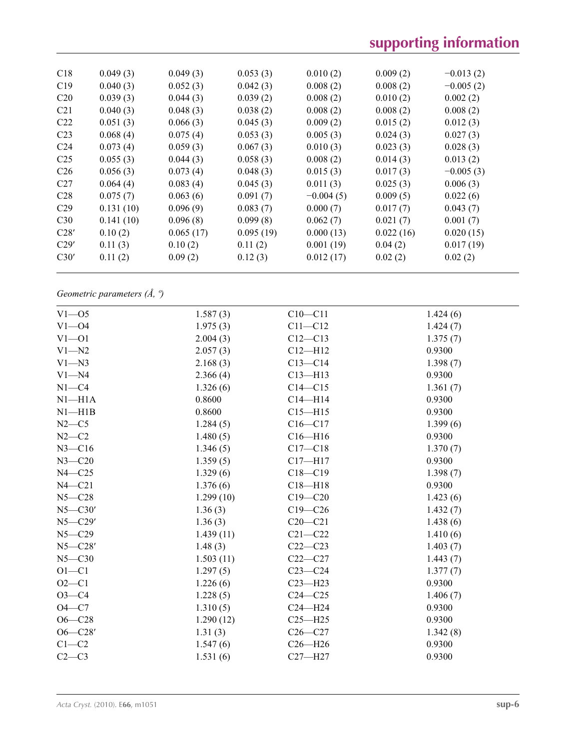# **supporting information**

| C18             | 0.049(3)  | 0.049(3)  | 0.053(3)  | 0.010(2)    | 0.009(2)  | $-0.013(2)$ |
|-----------------|-----------|-----------|-----------|-------------|-----------|-------------|
| C19             | 0.040(3)  | 0.052(3)  | 0.042(3)  | 0.008(2)    | 0.008(2)  | $-0.005(2)$ |
| C20             | 0.039(3)  | 0.044(3)  | 0.039(2)  | 0.008(2)    | 0.010(2)  | 0.002(2)    |
| C <sub>21</sub> | 0.040(3)  | 0.048(3)  | 0.038(2)  | 0.008(2)    | 0.008(2)  | 0.008(2)    |
| C <sub>22</sub> | 0.051(3)  | 0.066(3)  | 0.045(3)  | 0.009(2)    | 0.015(2)  | 0.012(3)    |
| C <sub>23</sub> | 0.068(4)  | 0.075(4)  | 0.053(3)  | 0.005(3)    | 0.024(3)  | 0.027(3)    |
| C <sub>24</sub> | 0.073(4)  | 0.059(3)  | 0.067(3)  | 0.010(3)    | 0.023(3)  | 0.028(3)    |
| C <sub>25</sub> | 0.055(3)  | 0.044(3)  | 0.058(3)  | 0.008(2)    | 0.014(3)  | 0.013(2)    |
| C <sub>26</sub> | 0.056(3)  | 0.073(4)  | 0.048(3)  | 0.015(3)    | 0.017(3)  | $-0.005(3)$ |
| C27             | 0.064(4)  | 0.083(4)  | 0.045(3)  | 0.011(3)    | 0.025(3)  | 0.006(3)    |
| C <sub>28</sub> | 0.075(7)  | 0.063(6)  | 0.091(7)  | $-0.004(5)$ | 0.009(5)  | 0.022(6)    |
| C <sub>29</sub> | 0.131(10) | 0.096(9)  | 0.083(7)  | 0.000(7)    | 0.017(7)  | 0.043(7)    |
| C <sub>30</sub> | 0.141(10) | 0.096(8)  | 0.099(8)  | 0.062(7)    | 0.021(7)  | 0.001(7)    |
| C28'            | 0.10(2)   | 0.065(17) | 0.095(19) | 0.000(13)   | 0.022(16) | 0.020(15)   |
| C29'            | 0.11(3)   | 0.10(2)   | 0.11(2)   | 0.001(19)   | 0.04(2)   | 0.017(19)   |
| C30'            | 0.11(2)   | 0.09(2)   | 0.12(3)   | 0.012(17)   | 0.02(2)   | 0.02(2)     |
|                 |           |           |           |             |           |             |

*Geometric parameters (Å, º)*

| $V1 - 05$   | 1.587(3)  | $C10 - C11$ | 1.424(6) |
|-------------|-----------|-------------|----------|
| $V1 - 04$   | 1.975(3)  | $C11 - C12$ | 1.424(7) |
| $V1 - 01$   | 2.004(3)  | $C12 - C13$ | 1.375(7) |
| $V1 - N2$   | 2.057(3)  | $C12 - H12$ | 0.9300   |
| $V1 - N3$   | 2.168(3)  | $C13-C14$   | 1.398(7) |
| $V1 - N4$   | 2.366(4)  | $C13 - H13$ | 0.9300   |
| $N1 - C4$   | 1.326(6)  | $C14 - C15$ | 1.361(7) |
| $N1 - H1A$  | 0.8600    | $C14 - H14$ | 0.9300   |
| $N1 - H1B$  | 0.8600    | $C15 - H15$ | 0.9300   |
| $N2-C5$     | 1.284(5)  | $C16 - C17$ | 1.399(6) |
| $N2-C2$     | 1.480(5)  | $C16 - H16$ | 0.9300   |
| $N3 - C16$  | 1.346(5)  | $C17 - C18$ | 1.370(7) |
| $N3 - C20$  | 1.359(5)  | $C17 - H17$ | 0.9300   |
| $N4 - C25$  | 1.329(6)  | $C18 - C19$ | 1.398(7) |
| $N4 - C21$  | 1.376(6)  | $C18 - H18$ | 0.9300   |
| $N5 - C28$  | 1.299(10) | $C19 - C20$ | 1.423(6) |
| $N5 - C30'$ | 1.36(3)   | $C19 - C26$ | 1.432(7) |
| $N5 - C29'$ | 1.36(3)   | $C20-C21$   | 1.438(6) |
| $N5 - C29$  | 1.439(11) | $C21 - C22$ | 1.410(6) |
| $N5 - C28'$ | 1.48(3)   | $C22-C23$   | 1.403(7) |
| $N5 - C30$  | 1.503(11) | $C22-C27$   | 1.443(7) |
| $O1 - C1$   | 1.297(5)  | $C23-C24$   | 1.377(7) |
| $O2 - C1$   | 1.226(6)  | $C23 - H23$ | 0.9300   |
| $O3-C4$     | 1.228(5)  | $C24 - C25$ | 1.406(7) |
| $O4 - C7$   | 1.310(5)  | $C24 - H24$ | 0.9300   |
| $O6 - C28$  | 1.290(12) | $C25 - H25$ | 0.9300   |
| $O6 - C28'$ | 1.31(3)   | $C26-C27$   | 1.342(8) |
| $C1-C2$     | 1.547(6)  | $C26 - H26$ | 0.9300   |
| $C2-C3$     | 1.531(6)  | $C27 - H27$ | 0.9300   |
|             |           |             |          |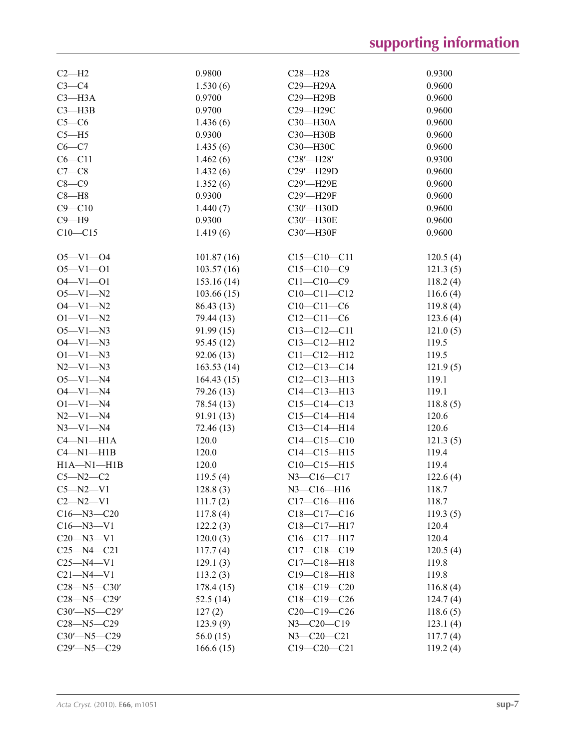# **supporting information**

| $C2-H2$            | 0.9800     | $C28 - H28$       | 0.9300   |
|--------------------|------------|-------------------|----------|
| $C3-C4$            | 1.530(6)   | $C29 - H29A$      | 0.9600   |
| $C3 - H3A$         | 0.9700     | $C29 - H29B$      | 0.9600   |
| $C3 - H3B$         | 0.9700     | C29-H29C          | 0.9600   |
| $C5-C6$            | 1.436(6)   | C30-H30A          | 0.9600   |
| $C5 - H5$          | 0.9300     | C30-H30B          | 0.9600   |
| $C6-C7$            | 1.435(6)   | С30-Н30С          | 0.9600   |
| $C6 - C11$         | 1.462(6)   | $C28'$ -H28'      | 0.9300   |
| $C7-C8$            | 1.432(6)   | C29'-H29D         | 0.9600   |
| $C8-C9$            | 1.352(6)   | C29'-H29E         | 0.9600   |
| $C8 - H8$          | 0.9300     | C29'-H29F         | 0.9600   |
|                    |            |                   |          |
| $C9 - C10$         | 1.440(7)   | C30'-H30D         | 0.9600   |
| $C9 - H9$          | 0.9300     | C30'-H30E         | 0.9600   |
| $C10-C15$          | 1.419(6)   | C30'-H30F         | 0.9600   |
| $O5 - V1 - O4$     | 101.87(16) | $C15 - C10 - C11$ | 120.5(4) |
| $O5 - V1 - O1$     | 103.57(16) | $C15-C10-C9$      | 121.3(5) |
| $O4 - VI - O1$     | 153.16(14) | $C11 - C10 - C9$  | 118.2(4) |
| $O5 - V1 - N2$     | 103.66(15) | $C10-C11-C12$     | 116.6(4) |
| $O4 - V1 - N2$     | 86.43 (13) | $C10-C11-C6$      | 119.8(4) |
| $O1 - V1 - N2$     | 79.44 (13) | $C12 - C11 - C6$  | 123.6(4) |
| $O5 - V1 - N3$     | 91.99(15)  | $C13 - C12 - C11$ | 121.0(5) |
| $O4 - V1 - N3$     | 95.45 (12) | $C13 - C12 - H12$ | 119.5    |
| $O1 - V1 - N3$     | 92.06(13)  | $C11 - C12 - H12$ | 119.5    |
| $N2 - V1 - N3$     | 163.53(14) | $C12-C13-C14$     | 121.9(5) |
| $O5 - V1 - N4$     | 164.43(15) | $C12-C13-H13$     | 119.1    |
|                    |            |                   |          |
| $O4 - V1 - N4$     | 79.26 (13) | $C14 - C13 - H13$ | 119.1    |
| $O1 - V1 - N4$     | 78.54 (13) | $C15-C14-C13$     | 118.8(5) |
| $N2 - V1 - N4$     | 91.91 (13) | $C15-C14-H14$     | 120.6    |
| $N3 - V1 - N4$     | 72.46 (13) | $C13 - C14 - H14$ | 120.6    |
| $C4-M1-H1A$        | 120.0      | $C14 - C15 - C10$ | 121.3(5) |
| $C4 - N1 - H1B$    | 120.0      | $C14 - C15 - H15$ | 119.4    |
| $H1A - N1 - H1B$   | 120.0      | $C10-C15-H15$     | 119.4    |
| $C5 - N2 - C2$     | 119.5(4)   | $N3 - C16 - C17$  | 122.6(4) |
| $C5 - N2 - V1$     | 128.8(3)   | N3-C16-H16        | 118.7    |
| $C2 - N2 - V1$     | 111.7(2)   | $C17 - C16 - H16$ | 118.7    |
| $C16 - N3 - C20$   | 117.8(4)   | $C18-C17-C16$     | 119.3(5) |
| $C16 - N3 - V1$    | 122.2(3)   | $C18-C17-H17$     | 120.4    |
| $C20 - N3 - V1$    | 120.0(3)   | $C16-C17-H17$     | 120.4    |
| $C25 - N4 - C21$   | 117.7(4)   | $C17 - C18 - C19$ | 120.5(4) |
| $C25 - N4 - V1$    | 129.1(3)   | $C17 - C18 - H18$ | 119.8    |
| $C21 - N4 - V1$    | 113.2(3)   | $C19 - C18 - H18$ | 119.8    |
| $C28 - N5 - C30'$  | 178.4(15)  | $C18-C19-C20$     | 116.8(4) |
| $C28 - N5 - C29'$  | 52.5 (14)  | $C18-C19-C26$     | 124.7(4) |
| $C30'$ -N5- $C29'$ | 127(2)     | $C20-C19-C26$     | 118.6(5) |
| $C28 - N5 - C29$   | 123.9(9)   | $N3 - C20 - C19$  | 123.1(4) |
| $C30'$ -N5- $C29$  | 56.0(15)   | $N3 - C20 - C21$  | 117.7(4) |
| $C29'$ -N5- $C29$  | 166.6(15)  | $C19 - C20 - C21$ | 119.2(4) |
|                    |            |                   |          |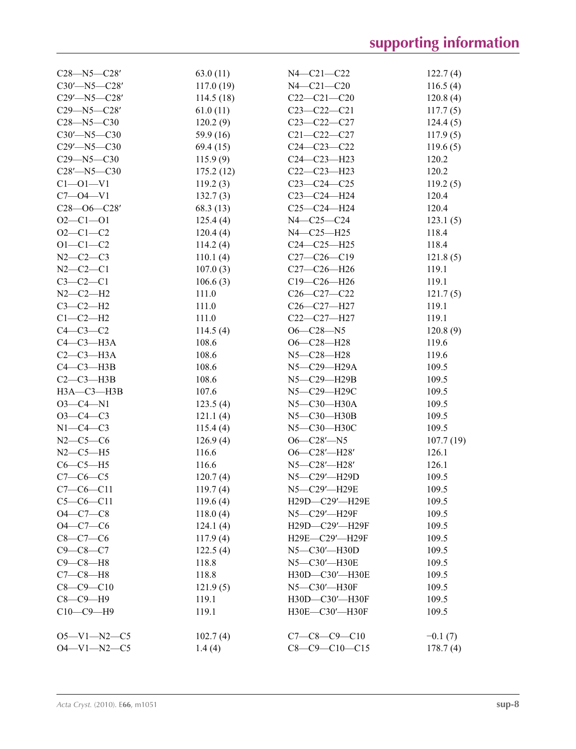| $C28 - N5 - C28'$   | 63.0(11)  | N4-C21-C22                                        | 122.7(4)  |
|---------------------|-----------|---------------------------------------------------|-----------|
| $C30'$ -N5- $C28'$  | 117.0(19) | $N4 - C21 - C20$                                  | 116.5(4)  |
| $C29'$ -N5- $C28'$  | 114.5(18) | $C22-C21-C20$                                     | 120.8(4)  |
| $C29 - N5 - C28'$   | 61.0(11)  | $C23-C22-C21$                                     | 117.7(5)  |
| $C28 - N5 - C30$    | 120.2(9)  | $C23 - C22 - C27$                                 | 124.4(5)  |
| $C30'$ -N5- $C30$   | 59.9 (16) | $C21 - C22 - C27$                                 | 117.9(5)  |
| $C29'$ -N5- $C30$   | 69.4 (15) | $C24 - C23 - C22$                                 | 119.6(5)  |
| $C29 - N5 - C30$    | 115.9(9)  | $C24 - C23 - H23$                                 | 120.2     |
| $C28'$ -N5- $C30$   | 175.2(12) | $C22-C23-H23$                                     | 120.2     |
| $C1 - 01 - V1$      | 119.2(3)  | $C23-C24-C25$                                     | 119.2(5)  |
| $C7 - 04 - V1$      | 132.7(3)  | C23-C24-H24                                       | 120.4     |
| $C28 - 06 - C28'$   | 68.3 (13) | $C25-C24-H24$                                     | 120.4     |
| $O2 - Cl - O1$      | 125.4(4)  | N4-C25-C24                                        | 123.1(5)  |
| $O2 - C1 - C2$      | 120.4(4)  | N4-C25-H25                                        | 118.4     |
| $O1 - C1 - C2$      | 114.2(4)  | $C24 - C25 - H25$                                 | 118.4     |
| $N2 - C2 - C3$      | 110.1(4)  | $C27-C26-C19$                                     | 121.8(5)  |
| $N2 - C2 - C1$      | 107.0(3)  | C27-C26-H26                                       | 119.1     |
| $C3-C2-C1$          | 106.6(3)  | C19-C26-H26                                       | 119.1     |
| $N2 - C2 - H2$      | 111.0     | $C26 - C27 - C22$                                 | 121.7(5)  |
| $C3-C2-H2$          | 111.0     | C <sub>26</sub> -C <sub>27</sub> -H <sub>27</sub> | 119.1     |
| $C1-C2-H2$          | 111.0     | C22-C27-H27                                       | 119.1     |
| $C4-C3-C2$          | 114.5(4)  | $O6 - C28 - N5$                                   | 120.8(9)  |
| $C4-C3-H3A$         | 108.6     | $O6 - C28 - H28$                                  | 119.6     |
| $C2-C3-H3A$         | 108.6     | N5-C28-H28                                        | 119.6     |
| $C4-C3-H3B$         | 108.6     | N5-C29-H29A                                       | 109.5     |
| $C2-C3-H3B$         | 108.6     | N5-C29-H29B                                       | 109.5     |
| $H3A - C3 - H3B$    | 107.6     | N5-C29-H29C                                       | 109.5     |
| $O3 - C4 - N1$      | 123.5(4)  | N5-C30-H30A                                       | 109.5     |
| $O3 - C4 - C3$      | 121.1(4)  | N5-C30-H30B                                       | 109.5     |
| $N1-C4-C3$          | 115.4(4)  | N5-C30-H30C                                       | 109.5     |
| $N2-C5-C6$          | 126.9(4)  | $O6 - C28' - N5$                                  | 107.7(19) |
| $N2-C5-H5$          | 116.6     | $O6 - C28' - H28'$                                | 126.1     |
| $C6-C5-H5$          | 116.6     | N5-C28'-H28'                                      | 126.1     |
| $C7 - C6 - C5$      | 120.7(4)  | N5-C29'-H29D                                      | 109.5     |
| $C7-C6-C11$         | 119.7(4)  | N5-C29'-H29E                                      | 109.5     |
| $C5-C6-C11$         | 119.6(4)  | H29D-C29'-H29E                                    | 109.5     |
| $O4 - C7 - C8$      | 118.0(4)  | N5-C29'-H29F                                      | 109.5     |
| $O4 - C7 - C6$      | 124.1(4)  | H29D-C29'-H29F                                    | 109.5     |
| $C8 - C7 - C6$      | 117.9(4)  | H29E-C29'-H29F                                    | 109.5     |
| $C9 - C8 - C7$      | 122.5(4)  | $N5 - C30' - H30D$                                | 109.5     |
| $C9-C8-H8$          | 118.8     | N5-C30'-H30E                                      | 109.5     |
| $C7-C8-H8$          | 118.8     | H30D-C30'-H30E                                    | 109.5     |
| $C8 - C9 - C10$     | 121.9(5)  | $N5 - C30' - H30F$                                | 109.5     |
| $C8-C9-H9$          | 119.1     | H30D-C30'-H30F                                    | 109.5     |
| $C10-C9-H9$         | 119.1     | H30E-C30'-H30F                                    | 109.5     |
|                     |           |                                                   |           |
| $O5 - V1 - N2 - C5$ | 102.7(4)  | $C7-C8-C9-C10$                                    | $-0.1(7)$ |
| $O4 - V1 - N2 - C5$ | 1.4(4)    | $C8 - C9 - C10 - C15$                             | 178.7(4)  |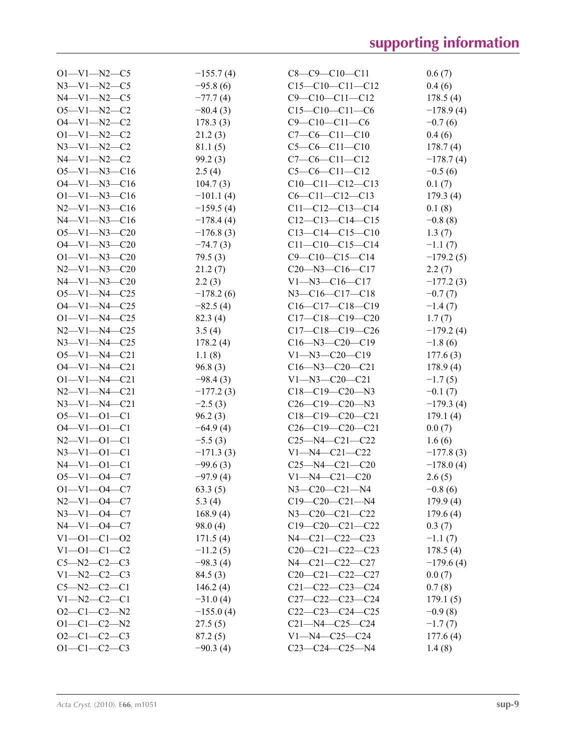| $O1 - V1 - N2 - C5$  | $-155.7(4)$ | $C8-C9-C10-C11$         | 0.6(7)      |
|----------------------|-------------|-------------------------|-------------|
| $N3 - V1 - N2 - C5$  | $-95.8(6)$  | $C15-C10-C11-C12$       | 0.4(6)      |
| $N4 - V1 - N2 - C5$  | $-77.7(4)$  | $C9 - C10 - C11 - C12$  | 178.5(4)    |
| $O5 - V1 - N2 - C2$  | $-80.4(3)$  | $C15-C10-C11-C6$        | $-178.9(4)$ |
| $O4 - V1 - N2 - C2$  | 178.3(3)    | $C9 - C10 - C11 - C6$   | $-0.7(6)$   |
| $O1 - V1 - N2 - C2$  | 21.2(3)     | $C7-C6-C11-C10$         | 0.4(6)      |
| $N3 - V1 - N2 - C2$  | 81.1(5)     | $C5-C6-C11-C10$         | 178.7(4)    |
| $N4 - V1 - N2 - C2$  | 99.2(3)     | $C7-C6-C11-C12$         | $-178.7(4)$ |
| $O5 - V1 - N3 - C16$ | 2.5(4)      | $C5-C6-C11-C12$         | $-0.5(6)$   |
| $O4 - V1 - N3 - C16$ | 104.7(3)    | $C10-C11-C12-C13$       | 0.1(7)      |
| $O1 - V1 - N3 - C16$ | $-101.1(4)$ | $C6 - C11 - C12 - C13$  | 179.3(4)    |
| $N2-V1-N3-C16$       | $-159.5(4)$ | $C11-C12-C13-C14$       | 0.1(8)      |
| $N4 - V1 - N3 - C16$ | $-178.4(4)$ | $C12-C13-C14-C15$       | $-0.8(8)$   |
| $O5 - V1 - N3 - C20$ | $-176.8(3)$ | $C13-C14-C15-C10$       | 1.3(7)      |
| $O4 - V1 - N3 - C20$ | $-74.7(3)$  | $C11-C10-C15-C14$       | $-1.1(7)$   |
| $O1 - V1 - N3 - C20$ | 79.5(3)     | $C9 - C10 - C15 - C14$  | $-179.2(5)$ |
| $N2 - V1 - N3 - C20$ | 21.2(7)     | $C20 - N3 - C16 - C17$  | 2.2(7)      |
| $N4 - V1 - N3 - C20$ | 2.2(3)      | $V1 - N3 - C16 - C17$   | $-177.2(3)$ |
| $O5 - V1 - N4 - C25$ | $-178.2(6)$ | $N3 - C16 - C17 - C18$  | $-0.7(7)$   |
| $O4 - V1 - N4 - C25$ | $-82.5(4)$  | $C16-C17-C18-C19$       | $-1.4(7)$   |
| $O1 - V1 - N4 - C25$ | 82.3 (4)    | $C17-C18-C19-C20$       | 1.7(7)      |
| $N2 - V1 - N4 - C25$ | 3.5(4)      | $C17-C18-C19-C26$       | $-179.2(4)$ |
| $N3 - V1 - N4 - C25$ | 178.2(4)    | $C16 - N3 - C20 - C19$  | $-1.8(6)$   |
| $O5 - V1 - N4 - C21$ | 1.1(8)      | $V1 - N3 - C20 - C19$   | 177.6(3)    |
| $O4 - V1 - N4 - C21$ | 96.8(3)     | $C16 - N3 - C20 - C21$  | 178.9(4)    |
| $O1 - V1 - N4 - C21$ | $-98.4(3)$  | $V1 - N3 - C20 - C21$   | $-1.7(5)$   |
| $N2 - V1 - N4 - C21$ | $-177.2(3)$ | $C18-C19-C20-N3$        | $-0.1(7)$   |
| $N3 - V1 - N4 - C21$ | $-2.5(3)$   | $C26-C19-C20-N3$        | $-179.3(4)$ |
| $O5 - V1 - O1 - C1$  | 96.2(3)     | $C18-C19-C20-C21$       | 179.1(4)    |
| $O4 - V1 - O1 - C1$  | $-64.9(4)$  | $C26-C19-C20-C21$       | 0.0(7)      |
| $N2-V1-O1-C1$        | $-5.5(3)$   | $C25 - N4 - C21 - C22$  | 1.6(6)      |
| $N3-V1-O1-C1$        | $-171.3(3)$ | $V1 - N4 - C21 - C22$   | $-177.8(3)$ |
| $N4 - V1 - 01 - C1$  | $-99.6(3)$  | $C25 - N4 - C21 - C20$  | $-178.0(4)$ |
| $O5 - V1 - O4 - C7$  | $-97.9(4)$  | $V1 - N4 - C21 - C20$   | 2.6(5)      |
| $O1 - V1 - O4 - C7$  | 63.3(5)     | $N3 - C20 - C21 - N4$   | $-0.8(6)$   |
| $N2-V1-04-C7$        | 5.3 $(4)$   | $C19-C20-C21-N4$        | 179.9(4)    |
| $N3-V1-04-C7$        | 168.9(4)    | $N3 - C20 - C21 - C22$  | 179.6(4)    |
| $N4 - V1 - 04 - C7$  | 98.0(4)     | $C19-C20-C21-C22$       | 0.3(7)      |
| $V1 - 01 - C1 - 02$  | 171.5(4)    | N4-C21-C22-C23          | $-1.1(7)$   |
| $V1 - 01 - C1 - C2$  | $-11.2(5)$  | $C20-C21-C22-C23$       | 178.5(4)    |
| $C5 - N2 - C2 - C3$  | $-98.3(4)$  | $N4 - C21 - C22 - C27$  | $-179.6(4)$ |
| $V1 - N2 - C2 - C3$  | 84.5(3)     | $C20-C21-C22-C27$       | 0.0(7)      |
| $C5 - N2 - C2 - C1$  | 146.2(4)    | $C21 - C22 - C23 - C24$ | 0.7(8)      |
| $V1 - N2 - C2 - C1$  | $-31.0(4)$  | $C27-C22-C23-C24$       | 179.1(5)    |
| $O2-C1-C2-N2$        | $-155.0(4)$ | $C22-C23-C24-C25$       | $-0.9(8)$   |
| $O1 - C1 - C2 - N2$  | 27.5(5)     | $C21 - N4 - C25 - C24$  | $-1.7(7)$   |
| $O2-C1-C2-C3$        | 87.2(5)     | $V1 - N4 - C25 - C24$   | 177.6(4)    |
| $O1 - C1 - C2 - C3$  | $-90.3(4)$  | $C23-C24-C25-N4$        | 1.4(8)      |